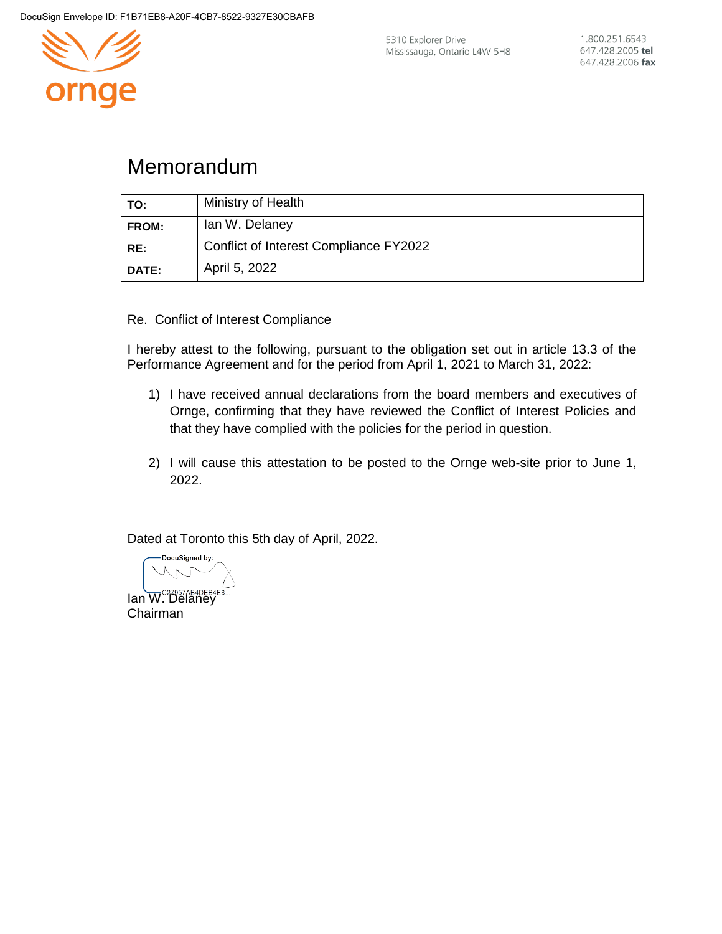

5310 Explorer Drive Mississauga, Ontario L4W 5H8

## Memorandum

| TO:   | Ministry of Health                     |
|-------|----------------------------------------|
| FROM: | Ian W. Delaney                         |
| RE:   | Conflict of Interest Compliance FY2022 |
| DATE: | April 5, 2022                          |

Re. Conflict of Interest Compliance

I hereby attest to the following, pursuant to the obligation set out in article 13.3 of the Performance Agreement and for the period from April 1, 2021 to March 31, 2022:

- 1) I have received annual declarations from the board members and executives of Ornge, confirming that they have reviewed the Conflict of Interest Policies and that they have complied with the policies for the period in question.
- 2) I will cause this attestation to be posted to the Ornge web-site prior to June 1, 2022.

Dated at Toronto this 5th day of April, 2022.

DocuSigned by: Ian W. Delaney Chairman